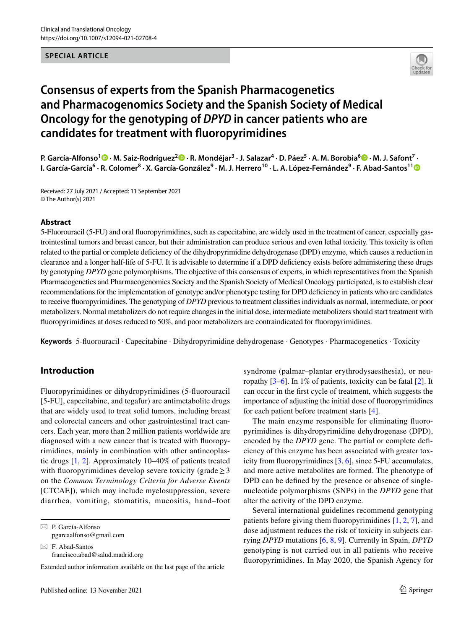#### **SPECIAL ARTICLE**



# **Consensus of experts from the Spanish Pharmacogenetics and Pharmacogenomics Society and the Spanish Society of Medical Oncology for the genotyping of** *DPYD* **in cancer patients who are candidates for treatment with fuoropyrimidines**

**P. García‑Alfonso1  [·](http://orcid.org/0000-0002-4373-9978) M. Saiz‑Rodríguez[2](http://orcid.org/0000-0002-1660-3135) · R. Mondéjar3 · J. Salazar<sup>4</sup> · D. Páez<sup>5</sup> · A. M. Borobia6 · M. J. Safont<sup>7</sup> · I. García‑García6 · R. Colomer8 · X. García‑González9 · M. J. Herrero10 · L. A. López‑Fernández9 · F. Abad‑Santos1[1](http://orcid.org/0000-0002-6519-8885)**

Received: 27 July 2021 / Accepted: 11 September 2021 © The Author(s) 2021

#### **Abstract**

5-Fluorouracil (5-FU) and oral fuoropyrimidines, such as capecitabine, are widely used in the treatment of cancer, especially gastrointestinal tumors and breast cancer, but their administration can produce serious and even lethal toxicity. This toxicity is often related to the partial or complete defciency of the dihydropyrimidine dehydrogenase (DPD) enzyme, which causes a reduction in clearance and a longer half-life of 5-FU. It is advisable to determine if a DPD defciency exists before administering these drugs by genotyping *DPYD* gene polymorphisms. The objective of this consensus of experts, in which representatives from the Spanish Pharmacogenetics and Pharmacogenomics Society and the Spanish Society of Medical Oncology participated, is to establish clear recommendations for the implementation of genotype and/or phenotype testing for DPD defciency in patients who are candidates to receive fuoropyrimidines. The genotyping of *DPYD* previous to treatment classifes individuals as normal, intermediate, or poor metabolizers. Normal metabolizers do not require changes in the initial dose, intermediate metabolizers should start treatment with fuoropyrimidines at doses reduced to 50%, and poor metabolizers are contraindicated for fuoropyrimidines.

**Keywords** 5-fuorouracil · Capecitabine · Dihydropyrimidine dehydrogenase · Genotypes · Pharmacogenetics · Toxicity

## **Introduction**

Fluoropyrimidines or dihydropyrimidines (5-fuorouracil [5-FU], capecitabine, and tegafur) are antimetabolite drugs that are widely used to treat solid tumors, including breast and colorectal cancers and other gastrointestinal tract cancers. Each year, more than 2 million patients worldwide are diagnosed with a new cancer that is treated with fuoropyrimidines, mainly in combination with other antineoplastic drugs [[1,](#page-9-0) [2](#page-9-1)]. Approximately 10–40% of patients treated with fluoropyrimidines develop severe toxicity (grade  $\geq$  3 on the *Common Terminology Criteria for Adverse Events* [CTCAE]), which may include myelosuppression, severe diarrhea, vomiting, stomatitis, mucositis, hand–foot

 $\boxtimes$  P. García-Alfonso pgarcaalfonso@gmail.com

 $\boxtimes$  F. Abad-Santos francisco.abad@salud.madrid.org

Extended author information available on the last page of the article

syndrome (palmar–plantar erythrodysaesthesia), or neuropathy [[3–](#page-9-2)[6\]](#page-9-3). In 1% of patients, toxicity can be fatal [[2\]](#page-9-1). It can occur in the frst cycle of treatment, which suggests the importance of adjusting the initial dose of fuoropyrimidines for each patient before treatment starts [[4\]](#page-9-4).

The main enzyme responsible for eliminating fuoropyrimidines is dihydropyrimidine dehydrogenase (DPD), encoded by the *DPYD* gene. The partial or complete deficiency of this enzyme has been associated with greater toxicity from fuoropyrimidines [\[3](#page-9-2), [6\]](#page-9-3), since 5-FU accumulates, and more active metabolites are formed. The phenotype of DPD can be defned by the presence or absence of singlenucleotide polymorphisms (SNPs) in the *DPYD* gene that alter the activity of the DPD enzyme.

Several international guidelines recommend genotyping patients before giving them fuoropyrimidines [[1,](#page-9-0) [2,](#page-9-1) [7](#page-9-5)], and dose adjustment reduces the risk of toxicity in subjects carrying *DPYD* mutations [[6,](#page-9-3) [8,](#page-9-6) [9\]](#page-9-7). Currently in Spain, *DPYD* genotyping is not carried out in all patients who receive fuoropyrimidines. In May 2020, the Spanish Agency for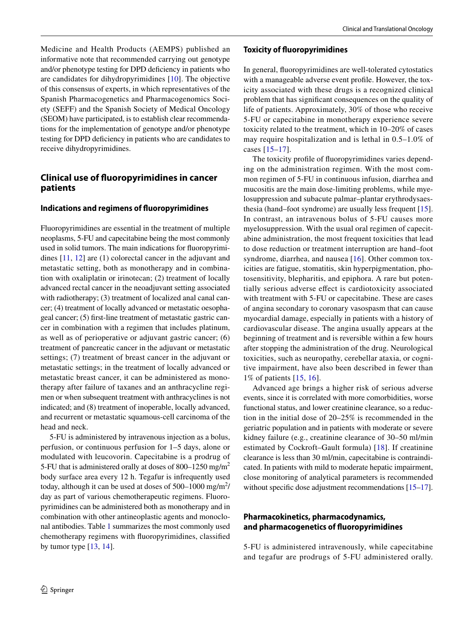Medicine and Health Products (AEMPS) published an informative note that recommended carrying out genotype and/or phenotype testing for DPD defciency in patients who are candidates for dihydropyrimidines [\[10](#page-9-8)]. The objective of this consensus of experts, in which representatives of the Spanish Pharmacogenetics and Pharmacogenomics Society (SEFF) and the Spanish Society of Medical Oncology (SEOM) have participated, is to establish clear recommendations for the implementation of genotype and/or phenotype testing for DPD defciency in patients who are candidates to receive dihydropyrimidines.

## **Clinical use of fuoropyrimidines in cancer patients**

## **Indications and regimens of fuoropyrimidines**

Fluoropyrimidines are essential in the treatment of multiple neoplasms, 5-FU and capecitabine being the most commonly used in solid tumors. The main indications for fuoropyrimidines [\[11,](#page-9-9) [12\]](#page-9-10) are (1) colorectal cancer in the adjuvant and metastatic setting, both as monotherapy and in combination with oxaliplatin or irinotecan; (2) treatment of locally advanced rectal cancer in the neoadjuvant setting associated with radiotherapy; (3) treatment of localized anal canal cancer; (4) treatment of locally advanced or metastatic oesophageal cancer; (5) frst-line treatment of metastatic gastric cancer in combination with a regimen that includes platinum, as well as of perioperative or adjuvant gastric cancer; (6) treatment of pancreatic cancer in the adjuvant or metastatic settings; (7) treatment of breast cancer in the adjuvant or metastatic settings; in the treatment of locally advanced or metastatic breast cancer, it can be administered as monotherapy after failure of taxanes and an anthracycline regimen or when subsequent treatment with anthracyclines is not indicated; and (8) treatment of inoperable, locally advanced, and recurrent or metastatic squamous-cell carcinoma of the head and neck.

5-FU is administered by intravenous injection as a bolus, perfusion, or continuous perfusion for 1–5 days, alone or modulated with leucovorin. Capecitabine is a prodrug of 5-FU that is administered orally at doses of 800–1250 mg/m<sup>2</sup> body surface area every 12 h. Tegafur is infrequently used today, although it can be used at doses of  $500-1000$  mg/m<sup>2</sup>/ day as part of various chemotherapeutic regimens. Fluoropyrimidines can be administered both as monotherapy and in combination with other antineoplastic agents and monoclonal antibodies. Table [1](#page-2-0) summarizes the most commonly used chemotherapy regimens with fuoropyrimidines, classifed by tumor type  $[13, 14]$  $[13, 14]$  $[13, 14]$  $[13, 14]$ .

**Toxicity of fuoropyrimidines**

In general, fuoropyrimidines are well-tolerated cytostatics with a manageable adverse event profle. However, the toxicity associated with these drugs is a recognized clinical problem that has signifcant consequences on the quality of life of patients. Approximately, 30% of those who receive 5-FU or capecitabine in monotherapy experience severe toxicity related to the treatment, which in 10–20% of cases may require hospitalization and is lethal in 0.5–1.0% of cases [\[15–](#page-9-13)[17](#page-9-14)].

The toxicity profle of fuoropyrimidines varies depending on the administration regimen. With the most common regimen of 5-FU in continuous infusion, diarrhea and mucositis are the main dose-limiting problems, while myelosuppression and subacute palmar–plantar erythrodysaesthesia (hand–foot syndrome) are usually less frequent [\[15](#page-9-13)]. In contrast, an intravenous bolus of 5-FU causes more myelosuppression. With the usual oral regimen of capecitabine administration, the most frequent toxicities that lead to dose reduction or treatment interruption are hand–foot syndrome, diarrhea, and nausea [[16](#page-9-15)]. Other common toxicities are fatigue, stomatitis, skin hyperpigmentation, photosensitivity, blepharitis, and epiphora. A rare but potentially serious adverse efect is cardiotoxicity associated with treatment with 5-FU or capecitabine. These are cases of angina secondary to coronary vasospasm that can cause myocardial damage, especially in patients with a history of cardiovascular disease. The angina usually appears at the beginning of treatment and is reversible within a few hours after stopping the administration of the drug. Neurological toxicities, such as neuropathy, cerebellar ataxia, or cognitive impairment, have also been described in fewer than 1% of patients [[15,](#page-9-13) [16\]](#page-9-15).

Advanced age brings a higher risk of serious adverse events, since it is correlated with more comorbidities, worse functional status, and lower creatinine clearance, so a reduction in the initial dose of 20–25% is recommended in the geriatric population and in patients with moderate or severe kidney failure (e.g., creatinine clearance of 30–50 ml/min estimated by Cockroft–Gault formula) [\[18\]](#page-9-16). If creatinine clearance is less than 30 ml/min, capecitabine is contraindicated. In patients with mild to moderate hepatic impairment, close monitoring of analytical parameters is recommended without specific dose adjustment recommendations [[15–](#page-9-13)[17](#page-9-14)].

## **Pharmacokinetics, pharmacodynamics, and pharmacogenetics of fuoropyrimidines**

5-FU is administered intravenously, while capecitabine and tegafur are prodrugs of 5-FU administered orally.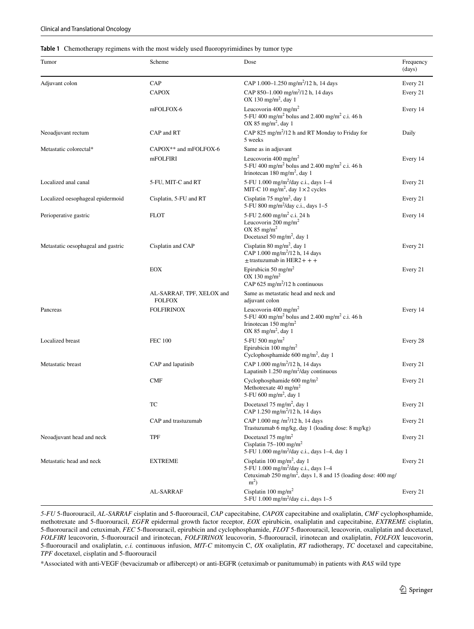#### <span id="page-2-0"></span>**Table 1** Chemotherapy regimens with the most widely used fuoropyrimidines by tumor type

| Tumor                              | Scheme                                     | Dose                                                                                                                                                                              | Frequency<br>(days) |
|------------------------------------|--------------------------------------------|-----------------------------------------------------------------------------------------------------------------------------------------------------------------------------------|---------------------|
| Adjuvant colon                     | CAP                                        | CAP 1.000-1.250 mg/m <sup>2</sup> /12 h, 14 days                                                                                                                                  | Every 21            |
|                                    | <b>CAPOX</b>                               | CAP 850-1.000 mg/m <sup>2</sup> /12 h, 14 days<br>OX 130 mg/m <sup>2</sup> , day 1                                                                                                | Every 21            |
|                                    | mFOLFOX-6                                  | Leucovorin 400 mg/m <sup>2</sup><br>5-FU 400 mg/m <sup>2</sup> bolus and 2.400 mg/m <sup>2</sup> c.i. 46 h<br>OX 85 mg/m <sup>2</sup> , day 1                                     | Every 14            |
| Neoadjuvant rectum                 | CAP and RT                                 | CAP 825 mg/m <sup>2</sup> /12 h and RT Monday to Friday for<br>5 weeks                                                                                                            | Daily               |
| Metastatic colorectal*             | CAPOX** and mFOLFOX-6                      | Same as in adjuvant                                                                                                                                                               |                     |
|                                    | mFOLFIRI                                   | Leucovorin 400 mg/m <sup>2</sup><br>5-FU 400 mg/m <sup>2</sup> bolus and 2.400 mg/m <sup>2</sup> c.i. 46 h<br>Irinotecan 180 mg/m <sup>2</sup> , day 1                            | Every 14            |
| Localized anal canal               | 5-FU, MIT-C and RT                         | 5-FU 1.000 mg/m <sup>2</sup> /day c.i., days 1-4<br>MIT-C 10 mg/m <sup>2</sup> , day $1 \times 2$ cycles                                                                          | Every 21            |
| Localized oesophageal epidermoid   | Cisplatin, 5-FU and RT                     | Cisplatin 75 mg/m <sup>2</sup> , day 1<br>5-FU 800 mg/m <sup>2</sup> /day c.i., days 1-5                                                                                          | Every 21            |
| Perioperative gastric              | <b>FLOT</b>                                | 5-FU 2.600 mg/m <sup>2</sup> c.i. 24 h<br>Leucovorin 200 mg/m <sup>2</sup><br>OX 85 mg/m <sup>2</sup><br>Docetaxel 50 mg/m <sup>2</sup> , day 1                                   | Every 14            |
| Metastatic oesophageal and gastric | Cisplatin and CAP                          | Cisplatin 80 mg/m <sup>2</sup> , day 1<br>CAP 1.000 mg/m <sup>2</sup> /12 h, 14 days<br>$\pm$ trastuzumab in HER2+++                                                              | Every 21            |
|                                    | EOX                                        | Epirubicin 50 mg/m <sup>2</sup><br>OX 130 mg/m <sup>2</sup><br>CAP 625 mg/m <sup>2</sup> /12 h continuous                                                                         | Every 21            |
|                                    | AL-SARRAF, TPF, XELOX and<br><b>FOLFOX</b> | Same as metastatic head and neck and<br>adjuvant colon                                                                                                                            |                     |
| Pancreas                           | <b>FOLFIRINOX</b>                          | Leucovorin 400 mg/m <sup>2</sup><br>5-FU 400 mg/m <sup>2</sup> bolus and 2.400 mg/m <sup>2</sup> c.i. 46 h<br>Irinotecan $150 \text{ mg/m}^2$<br>OX 85 mg/m <sup>2</sup> , day 1  | Every 14            |
| Localized breast                   | <b>FEC 100</b>                             | 5-FU 500 mg/m <sup>2</sup><br>Epirubicin 100 mg/m <sup>2</sup><br>Cyclophosphamide $600 \text{ mg/m}^2$ , day 1                                                                   | Every 28            |
| Metastatic breast                  | CAP and lapatinib                          | CAP 1.000 mg/m <sup>2</sup> /12 h, 14 days<br>Lapatinib 1.250 mg/m <sup>2</sup> /day continuous                                                                                   | Every 21            |
|                                    | <b>CMF</b>                                 | Cyclophosphamide $600 \text{ mg/m}^2$<br>Methotrexate 40 mg/m <sup>2</sup><br>5-FU 600 mg/m <sup>2</sup> , day 1                                                                  | Every 21            |
|                                    | TC                                         | Docetaxel 75 mg/m <sup>2</sup> , day 1<br>CAP 1.250 mg/m <sup>2</sup> /12 h, 14 days                                                                                              | Every 21            |
|                                    | CAP and trastuzumab                        | CAP 1.000 mg /m <sup>2</sup> /12 h, 14 days<br>Trastuzumab 6 mg/kg, day 1 (loading dose: 8 mg/kg)                                                                                 | Every 21            |
| Neoadjuvant head and neck          | <b>TPF</b>                                 | Docetaxel $75 \text{ mg/m}^2$<br>Cisplatin $75-100$ mg/m <sup>2</sup><br>5-FU 1.000 mg/m <sup>2</sup> /day c.i., days 1-4, day 1                                                  | Every 21            |
| Metastatic head and neck           | <b>EXTREME</b>                             | Cisplatin 100 mg/m <sup>2</sup> , day 1<br>5-FU 1.000 mg/m <sup>2</sup> /day c.i., days 1-4<br>Cetuximab $250 \text{ mg/m}^2$ , days 1, 8 and 15 (loading dose: 400 mg/<br>$m2$ ) | Every 21            |
|                                    | AL-SARRAF                                  | Cisplatin 100 mg/m <sup>2</sup><br>5-FU 1.000 mg/m <sup>2</sup> /day c.i., days $1-5$                                                                                             | Every 21            |

*5-FU* 5-fuorouracil, *AL-SARRAF* cisplatin and 5-fuorouracil, *CAP* capecitabine, *CAPOX* capecitabine and oxaliplatin, *CMF* cyclophosphamide, methotrexate and 5-fuorouracil, *EGFR* epidermal growth factor receptor, *EOX* epirubicin, oxaliplatin and capecitabine, *EXTREME* cisplatin, 5-fuorouracil and cetuximab, *FEC* 5-fuorouracil, epirubicin and cyclophosphamide, *FLOT* 5-fuorouracil, leucovorin, oxaliplatin and docetaxel, *FOLFIRI* leucovorin, 5-fuorouracil and irinotecan, *FOLFIRINOX* leucovorin, 5-fuorouracil, irinotecan and oxaliplatin, *FOLFOX* leucovorin, 5-fuorouracil and oxaliplatin, *c.i.* continuous infusion, *MIT-C* mitomycin C, *OX* oxaliplatin, *RT* radiotherapy, *TC* docetaxel and capecitabine, *TPF* docetaxel, cisplatin and 5-fuorouracil

\*Associated with anti-VEGF (bevacizumab or afibercept) or anti-EGFR (cetuximab or panitumumab) in patients with *RAS* wild type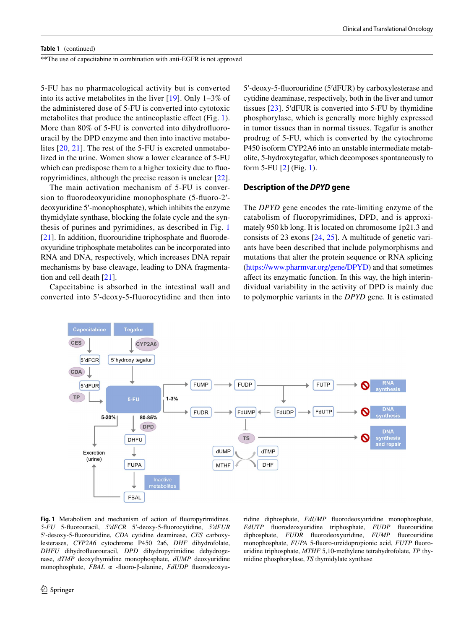#### **Table 1** (continued)

\*\*The use of capecitabine in combination with anti-EGFR is not approved

5-FU has no pharmacological activity but is converted into its active metabolites in the liver [\[19\]](#page-9-17). Only 1–3% of the administered dose of 5-FU is converted into cytotoxic metabolites that produce the antineoplastic efect (Fig. [1](#page-3-0)). More than 80% of 5-FU is converted into dihydrofuorouracil by the DPD enzyme and then into inactive metabolites [[20](#page-9-18), [21\]](#page-9-19). The rest of the 5-FU is excreted unmetabolized in the urine. Women show a lower clearance of 5-FU which can predispose them to a higher toxicity due to fuoropyrimidines, although the precise reason is unclear [[22](#page-9-20)].

The main activation mechanism of 5-FU is conversion to fuorodeoxyuridine monophosphate (5-fuoro-2′ deoxyuridine 5′-monophosphate), which inhibits the enzyme thymidylate synthase, blocking the folate cycle and the synthesis of purines and pyrimidines, as described in Fig. [1](#page-3-0) [\[21\]](#page-9-19). In addition, fluorouridine triphosphate and fluorodeoxyuridine triphosphate metabolites can be incorporated into RNA and DNA, respectively, which increases DNA repair mechanisms by base cleavage, leading to DNA fragmentation and cell death [\[21](#page-9-19)].

Capecitabine is absorbed in the intestinal wall and converted into 5′-deoxy-5-fluorocytidine and then into 5′-deoxy-5-fuorouridine (5′dFUR) by carboxylesterase and cytidine deaminase, respectively, both in the liver and tumor tissues [[23](#page-9-21)]. 5′dFUR is converted into 5-FU by thymidine phosphorylase, which is generally more highly expressed in tumor tissues than in normal tissues. Tegafur is another prodrug of 5-FU, which is converted by the cytochrome P450 isoform CYP2A6 into an unstable intermediate metabolite, 5-hydroxytegafur, which decomposes spontaneously to form 5-FU [\[2](#page-9-1)] (Fig. [1\)](#page-3-0).

#### **Description of the** *DPYD* **gene**

The *DPYD* gene encodes the rate-limiting enzyme of the catabolism of fluoropyrimidines, DPD, and is approximately 950 kb long. It is located on chromosome 1p21.3 and consists of 23 exons [[24](#page-9-22), [25\]](#page-9-23). A multitude of genetic variants have been described that include polymorphisms and mutations that alter the protein sequence or RNA splicing [\(https://www.pharmvar.org/gene/DPYD\)](https://www.pharmvar.org/gene/DPYD) and that sometimes afect its enzymatic function. In this way, the high interindividual variability in the activity of DPD is mainly due to polymorphic variants in the *DPYD* gene. It is estimated



<span id="page-3-0"></span>**Fig. 1** Metabolism and mechanism of action of fuoropyrimidines. *5-FU* 5-fuorouracil, *5′dFCR* 5′-deoxy-5-fuorocytidine, *5′dFUR* 5′-desoxy-5-fuorouridine, *CDA* cytidine deaminase, *CES* carboxylesterases, *CYP2A6* cytochrome P450 2a6, *DHF* dihydrofolate, *DHFU* dihydrofuorouracil, *DPD* dihydropyrimidine dehydrogenase, *dTMP* deoxythymidine monophosphate, *dUMP* deoxyuridine monophosphate, *FBAL* α -fuoro-β-alanine, *FdUDP* fuorodeoxyu-

ridine diphosphate, *FdUMP* fuorodeoxyuridine monophosphate, *FdUTP* fuorodeoxyuridine triphosphate, *FUDP* fuorouridine diphosphate, *FUDR* fuorodeoxyuridine, *FUMP* fuorouridine monophosphate, *FUPA* 5-fuoro-ureidopropionic acid, *FUTP* fuorouridine triphosphate, *MTHF* 5,10-methylene tetrahydrofolate, *TP* thymidine phosphorylase, *TS* thymidylate synthase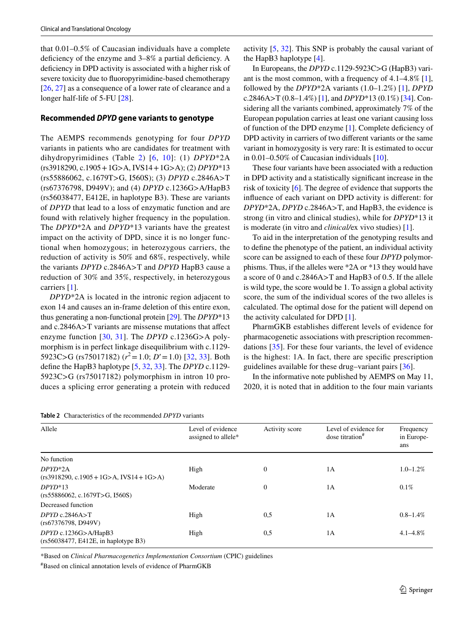that 0.01–0.5% of Caucasian individuals have a complete deficiency of the enzyme and 3–8% a partial deficiency. A defciency in DPD activity is associated with a higher risk of severe toxicity due to fuoropyrimidine-based chemotherapy [\[26,](#page-9-24) [27](#page-9-25)] as a consequence of a lower rate of clearance and a longer half-life of 5-FU [[28\]](#page-10-0).

#### **Recommended** *DPYD* **gene variants to genotype**

The AEMPS recommends genotyping for four *DPYD* variants in patients who are candidates for treatment with dihydropyrimidines (Table [2](#page-4-0)) [[6,](#page-9-3) [10\]](#page-9-8): (1) *DPYD*\*2A (rs3918290, c.1905+1G>A, IVS14+1G>A); (2) *DPYD*\*13 (rs55886062, c.1679T>G, I560S); (3) *DPYD* c.2846A>T (rs67376798, D949V); and (4) *DPYD* c.1236G>A/HapB3 (rs56038477, E412E, in haplotype B3). These are variants of *DPYD* that lead to a loss of enzymatic function and are found with relatively higher frequency in the population. The *DPYD*\*2A and *DPYD*\*13 variants have the greatest impact on the activity of DPD, since it is no longer functional when homozygous; in heterozygous carriers, the reduction of activity is 50% and 68%, respectively, while the variants *DPYD* c.2846A>T and *DPYD* HapB3 cause a reduction of 30% and 35%, respectively, in heterozygous carriers [[1\]](#page-9-0).

*DPYD*\*2A is located in the intronic region adjacent to exon 14 and causes an in-frame deletion of this entire exon, thus generating a non-functional protein [\[29\]](#page-10-1). The *DPYD*\*13 and c.2846A>T variants are missense mutations that afect enzyme function [\[30,](#page-10-2) [31](#page-10-3)]. The *DPYD* c.1236G>A polymorphism is in perfect linkage disequilibrium with c.1129- 5923C>G (rs75017182) (*r* 2=1.0; *D*′=1.0) [[32,](#page-10-4) [33](#page-10-5)]. Both defne the HapB3 haplotype [[5](#page-9-26), [32,](#page-10-4) [33\]](#page-10-5). The *DPYD* c.1129- 5923C>G (rs75017182) polymorphism in intron 10 produces a splicing error generating a protein with reduced

<span id="page-4-0"></span>**Table 2** Characteristics of the recommended *DPYD* variants

activity [[5,](#page-9-26) [32](#page-10-4)]. This SNP is probably the causal variant of the HapB3 haplotype [[4\]](#page-9-4).

In Europeans, the *DPYD* c.1129-5923C>G (HapB3) variant is the most common, with a frequency of 4.1–4.8% [\[1](#page-9-0)], followed by the *DPYD*\*2A variants (1.0–1.2%) [\[1](#page-9-0)], *DPYD* c.2846A>T (0.8–1.4%) [\[1](#page-9-0)], and *DPYD*\*13 (0.1%) [[34\]](#page-10-6). Considering all the variants combined, approximately 7% of the European population carries at least one variant causing loss of function of the DPD enzyme [[1\]](#page-9-0). Complete defciency of DPD activity in carriers of two diferent variants or the same variant in homozygosity is very rare: It is estimated to occur in 0.01–0.50% of Caucasian individuals [\[10\]](#page-9-8).

These four variants have been associated with a reduction in DPD activity and a statistically signifcant increase in the risk of toxicity [\[6](#page-9-3)]. The degree of evidence that supports the infuence of each variant on DPD activity is diferent: for *DPYD*\*2A, *DPYD* c.2846A>T, and HapB3, the evidence is strong (in vitro and clinical studies), while for *DPYD*\*13 it is moderate (in vitro and *clinical/*ex vivo studies) [[1\]](#page-9-0).

To aid in the interpretation of the genotyping results and to defne the phenotype of the patient, an individual activity score can be assigned to each of these four *DPYD* polymorphisms. Thus, if the alleles were \*2A or \*13 they would have a score of 0 and c.2846A>T and HapB3 of 0.5. If the allele is wild type, the score would be 1. To assign a global activity score, the sum of the individual scores of the two alleles is calculated. The optimal dose for the patient will depend on the activity calculated for DPD [\[1](#page-9-0)].

PharmGKB establishes diferent levels of evidence for pharmacogenetic associations with prescription recommendations [[35](#page-10-7)]. For these four variants, the level of evidence is the highest: 1A. In fact, there are specifc prescription guidelines available for these drug–variant pairs [[36\]](#page-10-8).

In the informative note published by AEMPS on May 11, 2020, it is noted that in addition to the four main variants

| Allele                                                         | Level of evidence<br>assigned to allele* | Activity score | Level of evidence for<br>dose titration <sup>#</sup> | Frequency<br>in Europe-<br>ans |
|----------------------------------------------------------------|------------------------------------------|----------------|------------------------------------------------------|--------------------------------|
| No function                                                    |                                          |                |                                                      |                                |
| $DPYD*2A$<br>$(rs3918290, c.1905 + 1G > A, IVS14 + 1G > A)$    | High                                     | $\Omega$       | 1A                                                   | $1.0 - 1.2\%$                  |
| $DPYD*13$<br>(rs55886062, c.1679T>G, 1560S)                    | Moderate                                 | $\Omega$       | 1A                                                   | 0.1%                           |
| Decreased function                                             |                                          |                |                                                      |                                |
| $DPYD$ c.2846A>T<br>(rs67376798, D949V)                        | High                                     | 0,5            | 1A                                                   | $0.8 - 1.4\%$                  |
| $DPYD$ c.1236G>A/HapB3<br>(rs56038477, E412E, in haplotype B3) | High                                     | 0,5            | 1A                                                   | $4.1 - 4.8\%$                  |

\*Based on *Clinical Pharmacogenetics Implementation Consortium* (CPIC) guidelines

# Based on clinical annotation levels of evidence of PharmGKB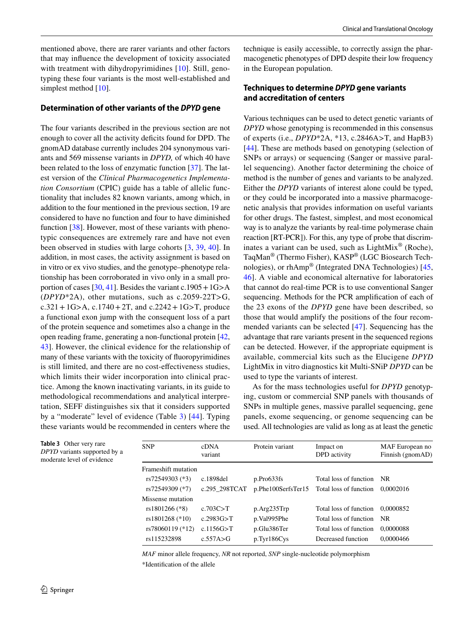mentioned above, there are rarer variants and other factors that may infuence the development of toxicity associated with treatment with dihydropyrimidines [[10\]](#page-9-8). Still, genotyping these four variants is the most well-established and simplest method [\[10](#page-9-8)].

#### **Determination of other variants of the** *DPYD* **gene**

The four variants described in the previous section are not enough to cover all the activity deficits found for DPD. The gnomAD database currently includes 204 synonymous variants and 569 missense variants in *DPYD,* of which 40 have been related to the loss of enzymatic function [\[37](#page-10-9)]. The latest version of the *Clinical Pharmacogenetics Implementation Consortium* (CPIC) guide has a table of allelic functionality that includes 82 known variants, among which, in addition to the four mentioned in the previous section, 19 are considered to have no function and four to have diminished function [[38\]](#page-10-10). However, most of these variants with phenotypic consequences are extremely rare and have not even been observed in studies with large cohorts [\[3,](#page-9-2) [39](#page-10-11), [40\]](#page-10-12). In addition, in most cases, the activity assignment is based on in vitro or ex vivo studies, and the genotype–phenotype relationship has been corroborated in vivo only in a small pro-portion of cases [\[30](#page-10-2), [41\]](#page-10-13). Besides the variant c.1905 +  $1G>A$ (*DPYD*\*2A), other mutations, such as c.2059-22T>G,  $c.321 + 1G > A$ ,  $c.1740 + 2T$ , and  $c.2242 + 1G > T$ , produce a functional exon jump with the consequent loss of a part of the protein sequence and sometimes also a change in the open reading frame, generating a non-functional protein [[42,](#page-10-14) [43](#page-10-15)]. However, the clinical evidence for the relationship of many of these variants with the toxicity of fuoropyrimidines is still limited, and there are no cost-efectiveness studies, which limits their wider incorporation into clinical practice. Among the known inactivating variants, in its guide to methodological recommendations and analytical interpretation, SEFF distinguishes six that it considers supported by a "moderate" level of evidence (Table [3\)](#page-5-0) [[44\]](#page-10-16). Typing these variants would be recommended in centers where the technique is easily accessible, to correctly assign the pharmacogenetic phenotypes of DPD despite their low frequency in the European population.

## **Techniques to determine** *DPYD* **gene variants and accreditation of centers**

Various techniques can be used to detect genetic variants of *DPYD* whose genotyping is recommended in this consensus of experts (i.e., *DPYD*\*2A, \*13, c.2846A>T, and HapB3) [[44\]](#page-10-16). These are methods based on genotyping (selection of SNPs or arrays) or sequencing (Sanger or massive parallel sequencing). Another factor determining the choice of method is the number of genes and variants to be analyzed. Either the *DPYD* variants of interest alone could be typed, or they could be incorporated into a massive pharmacogenetic analysis that provides information on useful variants for other drugs. The fastest, simplest, and most economical way is to analyze the variants by real-time polymerase chain reaction [RT-PCR]). For this, any type of probe that discriminates a variant can be used, such as  $LightMix^@$  (Roche), TaqMan® (Thermo Fisher), KASP® (LGC Biosearch Technologies), or rhAmp® (Integrated DNA Technologies) [[45,](#page-10-17) [46](#page-10-18)]. A viable and economical alternative for laboratories that cannot do real-time PCR is to use conventional Sanger sequencing. Methods for the PCR amplifcation of each of the 23 exons of the *DPYD* gene have been described, so those that would amplify the positions of the four recommended variants can be selected [[47\]](#page-10-19). Sequencing has the advantage that rare variants present in the sequenced regions can be detected. However, if the appropriate equipment is available, commercial kits such as the Elucigene *DPYD* LightMix in vitro diagnostics kit Multi-SNiP *DPYD* can be used to type the variants of interest.

As for the mass technologies useful for *DPYD* genotyping, custom or commercial SNP panels with thousands of SNPs in multiple genes, massive parallel sequencing, gene panels, exome sequencing, or genome sequencing can be used. All technologies are valid as long as at least the genetic

<span id="page-5-0"></span>**Table 3** Other very rare *DPYD* variants supported by a moderate level of evidence

| <b>SNP</b>          | cDNA<br>variant | Protein variant    | Impact on<br>DPD activity | MAF European no<br>Finnish (gnomAD) |
|---------------------|-----------------|--------------------|---------------------------|-------------------------------------|
| Frameshift mutation |                 |                    |                           |                                     |
| rs72549303 (*3)     | c.1898del       | p.Pro633fs         | Total loss of function    | NR.                                 |
| rs72549309 (*7)     | c.295 298TCAT   | p.Phe100SerfsTer15 | Total loss of function    | 0.0002016                           |
| Missense mutation   |                 |                    |                           |                                     |
| rs1801266 (*8)      | c.703C > T      | p.Arg235Trp        | Total loss of function    | 0.0000852                           |
| rs1801268 (*10)     | c.2983G > T     | p.Val995Phe        | Total loss of function    | - NR                                |
| rs78060119 (*12)    | c.1156G > T     | p.Glu386Ter        | Total loss of function    | 0.0000088                           |
| rs115232898         | c.557A > G      | p.Tyr186Cys        | Decreased function        | 0.0000466                           |

*MAF* minor allele frequency, *NR* not reported, *SNP* single-nucleotide polymorphism \*Identifcation of the allele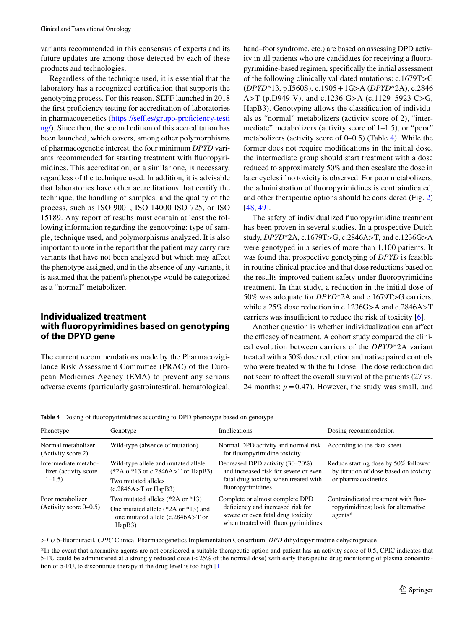variants recommended in this consensus of experts and its future updates are among those detected by each of these products and technologies.

Regardless of the technique used, it is essential that the laboratory has a recognized certifcation that supports the genotyping process. For this reason, SEFF launched in 2018 the frst profciency testing for accreditation of laboratories in pharmacogenetics (https://seff.es/grupo-proficiency-testi [ng/\)](https://seff.es/grupo-proficiency-testing/). Since then, the second edition of this accreditation has been launched, which covers, among other polymorphisms of pharmacogenetic interest, the four minimum *DPYD* variants recommended for starting treatment with fuoropyrimidines. This accreditation, or a similar one, is necessary, regardless of the technique used. In addition, it is advisable that laboratories have other accreditations that certify the technique, the handling of samples, and the quality of the process, such as ISO 9001, ISO 14000 ISO 725, or ISO 15189. Any report of results must contain at least the following information regarding the genotyping: type of sample, technique used, and polymorphisms analyzed. It is also important to note in the report that the patient may carry rare variants that have not been analyzed but which may afect the phenotype assigned, and in the absence of any variants, it is assumed that the patient's phenotype would be categorized as a "normal" metabolizer.

## **Individualized treatment with fuoropyrimidines based on genotyping of the DPYD gene**

The current recommendations made by the Pharmacovigilance Risk Assessment Committee (PRAC) of the European Medicines Agency (EMA) to prevent any serious adverse events (particularly gastrointestinal, hematological, hand–foot syndrome, etc.) are based on assessing DPD activity in all patients who are candidates for receiving a fuoropyrimidine-based regimen, specifcally the initial assessment of the following clinically validated mutations: c.1679T>G (*DPYD*\*13, p.I560S), c.1905+1G>A (*DPYD*\*2A), c.2846 A>T (p.D949 V), and c.1236 G>A (c.1129–5923 C>G, HapB3). Genotyping allows the classifcation of individuals as "normal" metabolizers (activity score of 2), "intermediate" metabolizers (activity score of 1–1.5), or "poor" metabolizers (activity score of 0–0.5) (Table [4\)](#page-6-0). While the former does not require modifcations in the initial dose, the intermediate group should start treatment with a dose reduced to approximately 50% and then escalate the dose in later cycles if no toxicity is observed. For poor metabolizers, the administration of fuoropyrimidines is contraindicated, and other therapeutic options should be considered (Fig. [2\)](#page-7-0) [[48,](#page-10-20) [49\]](#page-10-21).

The safety of individualized fuoropyrimidine treatment has been proven in several studies. In a prospective Dutch study, *DPYD*\*2A, c.1679T>G, c.2846A>T, and c.1236G>A were genotyped in a series of more than 1,100 patients. It was found that prospective genotyping of *DPYD* is feasible in routine clinical practice and that dose reductions based on the results improved patient safety under fuoropyrimidine treatment. In that study, a reduction in the initial dose of 50% was adequate for *DPYD*\*2A and c.1679T>G carriers, while a 25% dose reduction in c.1236G>A and c.2846A>T carriers was insufficient to reduce the risk of toxicity  $[6]$  $[6]$ .

Another question is whether individualization can afect the efficacy of treatment. A cohort study compared the clinical evolution between carriers of the *DPYD*\*2A variant treated with a 50% dose reduction and native paired controls who were treated with the full dose. The dose reduction did not seem to affect the overall survival of the patients (27 vs. 24 months;  $p = 0.47$ ). However, the study was small, and

<span id="page-6-0"></span>**Table 4** Dosing of fuoropyrimidines according to DPD phenotype based on genotype

| Phenotype                                                   | Genotype                                                                                                                        | Implications                                                                                                                                      | Dosing recommendation                                                                                 |
|-------------------------------------------------------------|---------------------------------------------------------------------------------------------------------------------------------|---------------------------------------------------------------------------------------------------------------------------------------------------|-------------------------------------------------------------------------------------------------------|
| Normal metabolizer<br>(Activity score 2)                    | Wild-type (absence of mutation)                                                                                                 | Normal DPD activity and normal risk<br>for fluoropyrimidine toxicity                                                                              | According to the data sheet                                                                           |
| Intermediate metabo-<br>lizer (activity score)<br>$1 - 1.5$ | Wild-type allele and mutated allele<br>$(*2A_0 * 13$ or c.2846A>T or HapB3)<br>Two mutated alleles<br>$(c.2846A > T)$ or HapB3) | Decreased DPD activity (30–70%)<br>and increased risk for severe or even<br>fatal drug toxicity when treated with<br>fluoropyrimidines            | Reduce starting dose by 50% followed<br>by titration of dose based on toxicity<br>or pharmacokinetics |
| Poor metabolizer<br>$(Activity score 0-0.5)$                | Two mutated alleles $(*2A or *13)$<br>One mutated allele $(*2A$ or $*13)$ and<br>one mutated allele (c.2846A>T or<br>HapB3)     | Complete or almost complete DPD<br>deficiency and increased risk for<br>severe or even fatal drug toxicity<br>when treated with fluoropyrimidines | Contraindicated treatment with fluo-<br>ropyrimidines; look for alternative<br>agents*                |

*5-FU* 5-fuorouracil, *CPIC* Clinical Pharmacogenetics Implementation Consortium, *DPD* dihydropyrimidine dehydrogenase

\*In the event that alternative agents are not considered a suitable therapeutic option and patient has an activity score of 0,5, CPIC indicates that 5-FU could be administered at a strongly reduced dose (<25% of the normal dose) with early therapeutic drug monitoring of plasma concentration of 5-FU, to discontinue therapy if the drug level is too high [\[1](#page-9-0)]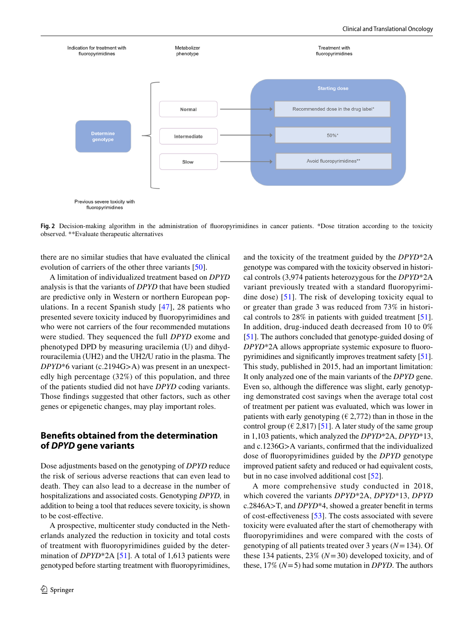

<span id="page-7-0"></span>Fig. 2 Decision-making algorithm in the administration of fluoropyrimidines in cancer patients. \*Dose titration according to the toxicity observed. \*\*Evaluate therapeutic alternatives

there are no similar studies that have evaluated the clinical evolution of carriers of the other three variants [[50\]](#page-10-22).

A limitation of individualized treatment based on *DPYD* analysis is that the variants of *DPYD* that have been studied are predictive only in Western or northern European populations. In a recent Spanish study [[47](#page-10-19)], 28 patients who presented severe toxicity induced by fuoropyrimidines and who were not carriers of the four recommended mutations were studied. They sequenced the full *DPYD* exome and phenotyped DPD by measuring uracilemia (U) and dihydrouracilemia (UH2) and the UH2/U ratio in the plasma. The *DPYD*\*6 variant (c.2194G>A) was present in an unexpectedly high percentage (32%) of this population, and three of the patients studied did not have *DPYD* coding variants. Those fndings suggested that other factors, such as other genes or epigenetic changes, may play important roles.

## **Benefts obtained from the determination of** *DPYD* **gene variants**

Dose adjustments based on the genotyping of *DPYD* reduce the risk of serious adverse reactions that can even lead to death. They can also lead to a decrease in the number of hospitalizations and associated costs. Genotyping *DPYD,* in addition to being a tool that reduces severe toxicity, is shown to be cost-efective.

A prospective, multicenter study conducted in the Netherlands analyzed the reduction in toxicity and total costs of treatment with fuoropyrimidines guided by the determination of *DPYD*\*2A [\[51](#page-10-23)]. A total of 1,613 patients were genotyped before starting treatment with fuoropyrimidines,

and the toxicity of the treatment guided by the *DPYD*\*2A genotype was compared with the toxicity observed in historical controls (3,974 patients heterozygous for the *DPYD*\*2A variant previously treated with a standard fuoropyrimidine dose) [[51\]](#page-10-23). The risk of developing toxicity equal to or greater than grade 3 was reduced from 73% in historical controls to 28% in patients with guided treatment [\[51](#page-10-23)]. In addition, drug-induced death decreased from 10 to 0% [\[51](#page-10-23)]. The authors concluded that genotype*-*guided dosing of *DPYD*\*2A allows appropriate systemic exposure to fuoropyrimidines and signifcantly improves treatment safety [[51](#page-10-23)]. This study, published in 2015, had an important limitation: It only analyzed one of the main variants of the *DPYD* gene. Even so, although the diference was slight, early genotyping demonstrated cost savings when the average total cost of treatment per patient was evaluated, which was lower in patients with early genotyping ( $\epsilon$  2,772) than in those in the control group ( $\in$  2,817) [\[51](#page-10-23)]. A later study of the same group in 1,103 patients, which analyzed the *DPYD*\*2A, *DPYD*\*13, and c.1236G>A variants, confrmed that the individualized dose of fuoropyrimidines guided by the *DPYD* genotype improved patient safety and reduced or had equivalent costs, but in no case involved additional cost [[52](#page-10-24)].

A more comprehensive study conducted in 2018, which covered the variants *DPYD*\*2A, *DPYD*\*13, *DPYD* c.2846A>T, and *DPYD*\*4, showed a greater beneft in terms of cost-efectiveness [[53\]](#page-10-25). The costs associated with severe toxicity were evaluated after the start of chemotherapy with fuoropyrimidines and were compared with the costs of genotyping of all patients treated over 3 years (*N*=134). Of these 134 patients, 23% (*N*=30) developed toxicity, and of these, 17% (*N*=5) had some mutation in *DPYD*. The authors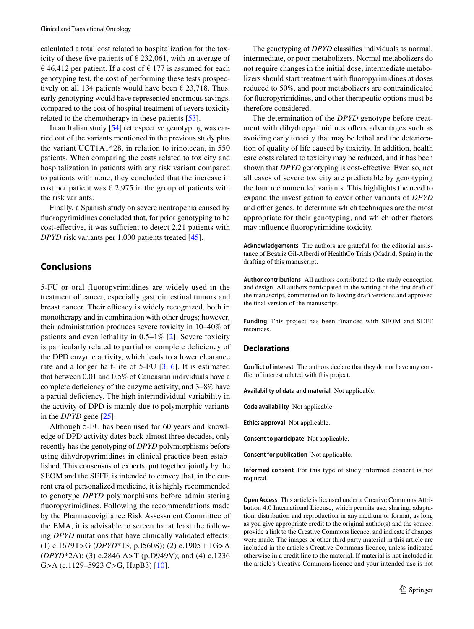calculated a total cost related to hospitalization for the toxicity of these five patients of  $\epsilon$  232,061, with an average of  $\epsilon$  46,412 per patient. If a cost of  $\epsilon$  177 is assumed for each genotyping test, the cost of performing these tests prospectively on all 134 patients would have been  $\epsilon$  23,718. Thus, early genotyping would have represented enormous savings, compared to the cost of hospital treatment of severe toxicity related to the chemotherapy in these patients [\[53\]](#page-10-25).

In an Italian study [[54\]](#page-10-26) retrospective genotyping was carried out of the variants mentioned in the previous study plus the variant UGT1A1\*28, in relation to irinotecan, in 550 patients. When comparing the costs related to toxicity and hospitalization in patients with any risk variant compared to patients with none, they concluded that the increase in cost per patient was  $\epsilon$  2,975 in the group of patients with the risk variants.

Finally, a Spanish study on severe neutropenia caused by fuoropyrimidines concluded that, for prior genotyping to be cost-effective, it was sufficient to detect 2.21 patients with *DPYD* risk variants per 1,000 patients treated [[45\]](#page-10-17).

## **Conclusions**

5-FU or oral fluoropyrimidines are widely used in the treatment of cancer, especially gastrointestinal tumors and breast cancer. Their efficacy is widely recognized, both in monotherapy and in combination with other drugs; however, their administration produces severe toxicity in 10–40% of patients and even lethality in  $0.5-1\%$  [[2\]](#page-9-1). Severe toxicity is particularly related to partial or complete defciency of the DPD enzyme activity, which leads to a lower clearance rate and a longer half-life of 5-FU [\[3,](#page-9-2) [6\]](#page-9-3). It is estimated that between 0.01 and 0.5% of Caucasian individuals have a complete deficiency of the enzyme activity, and  $3-8\%$  have a partial defciency. The high interindividual variability in the activity of DPD is mainly due to polymorphic variants in the *DPYD* gene [[25\]](#page-9-23).

Although 5-FU has been used for 60 years and knowledge of DPD activity dates back almost three decades, only recently has the genotyping of *DPYD* polymorphisms before using dihydropyrimidines in clinical practice been established. This consensus of experts, put together jointly by the SEOM and the SEFF, is intended to convey that, in the current era of personalized medicine, it is highly recommended to genotype *DPYD* polymorphisms before administering fuoropyrimidines. Following the recommendations made by the Pharmacovigilance Risk Assessment Committee of the EMA, it is advisable to screen for at least the following *DPYD* mutations that have clinically validated effects: (1) c.1679T>G (*DPYD*\*13, p.I560S); (2) c.1905+1G>A (*DPYD*\*2A); (3) c.2846 A>T (p.D949V); and (4) c.1236 G>A (c.1129–5923 C>G, HapB3) [[10\]](#page-9-8).

The genotyping of *DPYD* classifes individuals as normal, intermediate, or poor metabolizers. Normal metabolizers do not require changes in the initial dose, intermediate metabolizers should start treatment with fuoropyrimidines at doses reduced to 50%, and poor metabolizers are contraindicated for fuoropyrimidines, and other therapeutic options must be therefore considered.

The determination of the *DPYD* genotype before treatment with dihydropyrimidines offers advantages such as avoiding early toxicity that may be lethal and the deterioration of quality of life caused by toxicity. In addition, health care costs related to toxicity may be reduced, and it has been shown that *DPYD* genotyping is cost-effective. Even so, not all cases of severe toxicity are predictable by genotyping the four recommended variants. This highlights the need to expand the investigation to cover other variants of *DPYD* and other genes, to determine which techniques are the most appropriate for their genotyping, and which other factors may infuence fuoropyrimidine toxicity.

**Acknowledgements** The authors are grateful for the editorial assistance of Beatriz Gil-Alberdi of HealthCo Trials (Madrid, Spain) in the drafting of this manuscript.

**Author contributions** All authors contributed to the study conception and design. All authors participated in the writing of the frst draft of the manuscript, commented on following draft versions and approved the fnal version of the manuscript.

**Funding** This project has been financed with SEOM and SEFF resources.

#### **Declarations**

**Conflict of interest** The authors declare that they do not have any confict of interest related with this project.

**Availability of data and material** Not applicable.

**Code availability** Not applicable.

**Ethics approval** Not applicable.

**Consent to participate** Not applicable.

**Consent for publication** Not applicable.

**Informed consent** For this type of study informed consent is not required.

**Open Access** This article is licensed under a Creative Commons Attribution 4.0 International License, which permits use, sharing, adaptation, distribution and reproduction in any medium or format, as long as you give appropriate credit to the original author(s) and the source, provide a link to the Creative Commons licence, and indicate if changes were made. The images or other third party material in this article are included in the article's Creative Commons licence, unless indicated otherwise in a credit line to the material. If material is not included in the article's Creative Commons licence and your intended use is not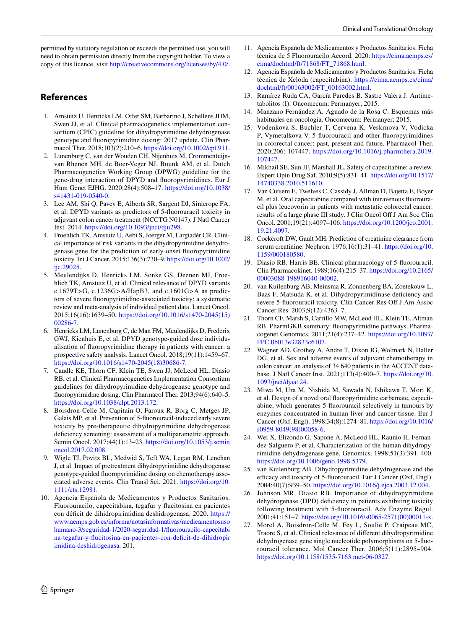permitted by statutory regulation or exceeds the permitted use, you will need to obtain permission directly from the copyright holder. To view a copy of this licence, visit <http://creativecommons.org/licenses/by/4.0/>.

## **References**

- <span id="page-9-0"></span>1. Amstutz U, Henricks LM, Offer SM, Barbarino J, Schellens JHM, Swen JJ, et al. Clinical pharmacogenetics implementation consortium (CPIC) guideline for dihydropyrimidine dehydrogenase genotype and fuoropyrimidine dosing: 2017 update. Clin Pharmacol Ther. 2018;103(2):210–6. [https://doi.org/10.1002/cpt.911.](https://doi.org/10.1002/cpt.911)
- <span id="page-9-1"></span>2. Lunenburg C, van der Wouden CH, Nijenhuis M, Crommentuijnvan Rhenen MH, de Boer-Veger NJ, Buunk AM, et al. Dutch Pharmacogenetics Working Group (DPWG) guideline for the gene-drug interaction of DPYD and fuoropyrimidines. Eur J Hum Genet EJHG. 2020;28(4):508–17. [https://doi.org/10.1038/](https://doi.org/10.1038/s41431-019-0540-0) [s41431-019-0540-0.](https://doi.org/10.1038/s41431-019-0540-0)
- <span id="page-9-2"></span>3. Lee AM, Shi Q, Pavey E, Alberts SR, Sargent DJ, Sinicrope FA, et al. DPYD variants as predictors of 5-fuorouracil toxicity in adjuvant colon cancer treatment (NCCTG N0147). J Natl Cancer Inst. 2014. [https://doi.org/10.1093/jnci/dju298.](https://doi.org/10.1093/jnci/dju298)
- <span id="page-9-4"></span>4. Froehlich TK, Amstutz U, Aebi S, Joerger M, Largiadèr CR. Clinical importance of risk variants in the dihydropyrimidine dehydrogenase gene for the prediction of early-onset fuoropyrimidine toxicity. Int J Cancer. 2015;136(3):730–9. [https://doi.org/10.1002/](https://doi.org/10.1002/ijc.29025) iic.29025.
- <span id="page-9-26"></span>5. Meulendijks D, Henricks LM, Sonke GS, Deenen MJ, Froehlich TK, Amstutz U, et al. Clinical relevance of DPYD variants c.1679T>G, c.1236G>A/HapB3, and c.1601G>A as predictors of severe fuoropyrimidine-associated toxicity: a systematic review and meta-analysis of individual patient data. Lancet Oncol. 2015;16(16):1639–50. [https://doi.org/10.1016/s1470-2045\(15\)](https://doi.org/10.1016/s1470-2045(15)00286-7) [00286-7.](https://doi.org/10.1016/s1470-2045(15)00286-7)
- <span id="page-9-3"></span>6. Henricks LM, Lunenburg C, de Man FM, Meulendijks D, Frederix GWJ, Kienhuis E, et al. DPYD genotype-guided dose individualisation of fuoropyrimidine therapy in patients with cancer: a prospective safety analysis. Lancet Oncol. 2018;19(11):1459–67. [https://doi.org/10.1016/s1470-2045\(18\)30686-7.](https://doi.org/10.1016/s1470-2045(18)30686-7)
- <span id="page-9-5"></span>7. Caudle KE, Thorn CF, Klein TE, Swen JJ, McLeod HL, Diasio RB, et al. Clinical Pharmacogenetics Implementation Consortium guidelines for dihydropyrimidine dehydrogenase genotype and fuoropyrimidine dosing. Clin Pharmacol Ther. 2013;94(6):640–5. <https://doi.org/10.1038/clpt.2013.172>.
- <span id="page-9-6"></span>8. Boisdron-Celle M, Capitain O, Faroux R, Borg C, Metges JP, Galais MP, et al. Prevention of 5-fuorouracil-induced early severe toxicity by pre-therapeutic dihydropyrimidine dehydrogenase deficiency screening: assessment of a multiparametric approach. Semin Oncol. 2017;44(1):13–23. [https://doi.org/10.1053/j.semin](https://doi.org/10.1053/j.seminoncol.2017.02.008) [oncol.2017.02.008](https://doi.org/10.1053/j.seminoncol.2017.02.008).
- <span id="page-9-7"></span>9. Wigle TJ, Povitz BL, Medwid S, Teft WA, Legan RM, Lenehan J, et al. Impact of pretreatment dihydropyrimidine dehydrogenase genotype-guided fuoropyrimidine dosing on chemotherapy associated adverse events. Clin Transl Sci. 2021. [https://doi.org/10.](https://doi.org/10.1111/cts.12981) [1111/cts.12981.](https://doi.org/10.1111/cts.12981)
- <span id="page-9-8"></span>10. Agencia Española de Medicamentos y Productos Sanitarios. Fluorouracilo, capecitabina, tegafur y fucitosina en pacientes con défcit de dihidropirimidina deshidrogenasa. 2020. [https://](https://www.aemps.gob.es/informa/notasinformativas/medicamentosusohumano-3/seguridad-1/2020-seguridad-1/fluorouracilo-capecitabina-tegafur-y-flucitosina-en-pacientes-con-deficit-de-dihidropirimidina-deshidrogenasa) [www.aemps.gob.es/informa/notasinformativas/medicamentosuso](https://www.aemps.gob.es/informa/notasinformativas/medicamentosusohumano-3/seguridad-1/2020-seguridad-1/fluorouracilo-capecitabina-tegafur-y-flucitosina-en-pacientes-con-deficit-de-dihidropirimidina-deshidrogenasa) [humano-3/seguridad-1/2020-seguridad-1/fuorouracilo-capecitabi](https://www.aemps.gob.es/informa/notasinformativas/medicamentosusohumano-3/seguridad-1/2020-seguridad-1/fluorouracilo-capecitabina-tegafur-y-flucitosina-en-pacientes-con-deficit-de-dihidropirimidina-deshidrogenasa) [na-tegafur-y-fucitosina-en-pacientes-con-defcit-de-dihidropir](https://www.aemps.gob.es/informa/notasinformativas/medicamentosusohumano-3/seguridad-1/2020-seguridad-1/fluorouracilo-capecitabina-tegafur-y-flucitosina-en-pacientes-con-deficit-de-dihidropirimidina-deshidrogenasa) [imidina-deshidrogenasa.](https://www.aemps.gob.es/informa/notasinformativas/medicamentosusohumano-3/seguridad-1/2020-seguridad-1/fluorouracilo-capecitabina-tegafur-y-flucitosina-en-pacientes-con-deficit-de-dihidropirimidina-deshidrogenasa) 201.
- <span id="page-9-9"></span>11. Agencia Española de Medicamentos y Productos Sanitarios. Ficha técnica de 5 Fluorouracilo Accord. 2020. [https://cima.aemps.es/](https://cima.aemps.es/cima/dochtml/ft/71868/FT_71868.html) [cima/dochtml/ft/71868/FT\\_71868.html](https://cima.aemps.es/cima/dochtml/ft/71868/FT_71868.html).
- <span id="page-9-10"></span>12. Agencia Española de Medicamentos y Productos Sanitarios. Ficha técnica de Xeloda (capecitabina). [https://cima.aemps.es/cima/](https://cima.aemps.es/cima/dochtml/ft/00163002/FT_00163002.html) [dochtml/ft/00163002/FT\\_00163002.html.](https://cima.aemps.es/cima/dochtml/ft/00163002/FT_00163002.html)
- <span id="page-9-11"></span>13. Ramírez Ruda CA, García Paredes B, Sastre Valera J. Antimetabolitos (I). Oncomecum: Permanyer; 2015.
- <span id="page-9-12"></span>14. Manzano Fernández A, Aguado de la Rosa C. Esquemas más habituales en oncología. Oncomecum: Permanyer; 2015.
- <span id="page-9-13"></span>15. Vodenkova S, Buchler T, Cervena K, Veskrnova V, Vodicka P, Vymetalkova V. 5-fuorouracil and other fuoropyrimidines in colorectal cancer: past, present and future. Pharmacol Ther. 2020;206: 107447. [https://doi.org/10.1016/j.pharmthera.2019.](https://doi.org/10.1016/j.pharmthera.2019.107447) [107447.](https://doi.org/10.1016/j.pharmthera.2019.107447)
- <span id="page-9-15"></span>16. Mikhail SE, Sun JF, Marshall JL. Safety of capecitabine: a review. Expert Opin Drug Saf. 2010;9(5):831–41. [https://doi.org/10.1517/](https://doi.org/10.1517/14740338.2010.511610) [14740338.2010.511610.](https://doi.org/10.1517/14740338.2010.511610)
- <span id="page-9-14"></span>17. Van Cutsem E, Twelves C, Cassidy J, Allman D, Bajetta E, Boyer M, et al. Oral capecitabine compared with intravenous fuorouracil plus leucovorin in patients with metastatic colorectal cancer: results of a large phase III study. J Clin Oncol Of J Am Soc Clin Oncol. 2001;19(21):4097–106. [https://doi.org/10.1200/jco.2001.](https://doi.org/10.1200/jco.2001.19.21.4097) [19.21.4097.](https://doi.org/10.1200/jco.2001.19.21.4097)
- <span id="page-9-16"></span>18. Cockcroft DW, Gault MH. Prediction of creatinine clearance from serum creatinine. Nephron. 1976;16(1):31–41. [https://doi.org/10.](https://doi.org/10.1159/000180580) [1159/000180580](https://doi.org/10.1159/000180580).
- <span id="page-9-17"></span>19. Diasio RB, Harris BE. Clinical pharmacology of 5-fuorouracil. Clin Pharmacokinet. 1989;16(4):215–37. [https://doi.org/10.2165/](https://doi.org/10.2165/00003088-198916040-00002) [00003088-198916040-00002](https://doi.org/10.2165/00003088-198916040-00002).
- <span id="page-9-18"></span>20. van Kuilenburg AB, Meinsma R, Zonnenberg BA, Zoetekouw L, Baas F, Matsuda K, et al. Dihydropyrimidinase defciency and severe 5-fluorouracil toxicity. Clin Cancer Res Off J Am Assoc Cancer Res. 2003;9(12):4363–7.
- <span id="page-9-19"></span>21. Thorn CF, Marsh S, Carrillo MW, McLeod HL, Klein TE, Altman RB. PharmGKB summary: fuoropyrimidine pathways. Pharmacogenet Genomics. 2011;21(4):237–42. [https://doi.org/10.1097/](https://doi.org/10.1097/FPC.0b013e32833c6107) [FPC.0b013e32833c6107](https://doi.org/10.1097/FPC.0b013e32833c6107).
- <span id="page-9-20"></span>22. Wagner AD, Grothey A, Andre T, Dixon JG, Wolmark N, Haller DG, et al. Sex and adverse events of adjuvant chemotherapy in colon cancer: an analysis of 34 640 patients in the ACCENT database. J Natl Cancer Inst. 2021;113(4):400–7. [https://doi.org/10.](https://doi.org/10.1093/jnci/djaa124) [1093/jnci/djaa124](https://doi.org/10.1093/jnci/djaa124).
- <span id="page-9-21"></span>23. Miwa M, Ura M, Nishida M, Sawada N, Ishikawa T, Mori K, et al. Design of a novel oral fuoropyrimidine carbamate, capecitabine, which generates 5-fuorouracil selectively in tumours by enzymes concentrated in human liver and cancer tissue. Eur J Cancer (Oxf, Engl). 1998;34(8):1274–81. [https://doi.org/10.1016/](https://doi.org/10.1016/s0959-8049(98)00058-6) [s0959-8049\(98\)00058-6.](https://doi.org/10.1016/s0959-8049(98)00058-6)
- <span id="page-9-22"></span>24. Wei X, Elizondo G, Sapone A, McLeod HL, Raunio H, Fernandez-Salguero P, et al. Characterization of the human dihydropyrimidine dehydrogenase gene. Genomics. 1998;51(3):391–400. [https://doi.org/10.1006/geno.1998.5379.](https://doi.org/10.1006/geno.1998.5379)
- <span id="page-9-23"></span>25. van Kuilenburg AB. Dihydropyrimidine dehydrogenase and the efficacy and toxicity of 5-fluorouracil. Eur J Cancer (Oxf, Engl). 2004;40(7):939–50. <https://doi.org/10.1016/j.ejca.2003.12.004>.
- <span id="page-9-24"></span>26. Johnson MR, Diasio RB. Importance of dihydropyrimidine dehydrogenase (DPD) deficiency in patients exhibiting toxicity following treatment with 5-fuorouracil. Adv Enzyme Regul. 2001;41:151–7. [https://doi.org/10.1016/s0065-2571\(00\)00011-x](https://doi.org/10.1016/s0065-2571(00)00011-x).
- <span id="page-9-25"></span>27. Morel A, Boisdron-Celle M, Fey L, Soulie P, Craipeau MC, Traore S, et al. Clinical relevance of diferent dihydropyrimidine dehydrogenase gene single nucleotide polymorphisms on 5-fuorouracil tolerance. Mol Cancer Ther. 2006;5(11):2895–904. <https://doi.org/10.1158/1535-7163.mct-06-0327>.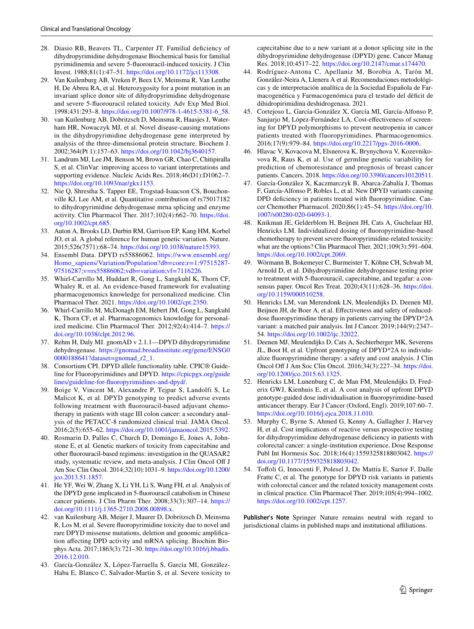- <span id="page-10-0"></span>28. Diasio RB, Beavers TL, Carpenter JT. Familial defciency of dihydropyrimidine dehydrogenase Biochemical basis for familial pyrimidinemia and severe 5-fuorouracil-induced toxicity. J Clin Invest. 1988;81(1):47–51. [https://doi.org/10.1172/jci113308.](https://doi.org/10.1172/jci113308)
- <span id="page-10-1"></span>29. Van Kuilenburg AB, Vreken P, Beex LV, Meinsma R, Van Lenthe H, De Abreu RA, et al. Heterozygosity for a point mutation in an invariant splice donor site of dihydropyrimidine dehydrogenase and severe 5-fuorouracil related toxicity. Adv Exp Med Biol. 1998;431:293–8. [https://doi.org/10.1007/978-1-4615-5381-6\\_58.](https://doi.org/10.1007/978-1-4615-5381-6_58)
- <span id="page-10-2"></span>30. van Kuilenburg AB, Dobritzsch D, Meinsma R, Haasjes J, Waterham HR, Nowaczyk MJ, et al. Novel disease-causing mutations in the dihydropyrimidine dehydrogenase gene interpreted by analysis of the three-dimensional protein structure. Biochem J. 2002;364(Pt 1):157–63.<https://doi.org/10.1042/bj3640157>.
- <span id="page-10-3"></span>31. Landrum MJ, Lee JM, Benson M, Brown GR, Chao C, Chitipiralla S, et al. ClinVar: improving access to variant interpretations and supporting evidence. Nucleic Acids Res. 2018;46(D1):D1062–7. [https://doi.org/10.1093/nar/gkx1153.](https://doi.org/10.1093/nar/gkx1153)
- <span id="page-10-4"></span>32. Nie Q, Shrestha S, Tapper EE, Trogstad-Isaacson CS, Bouchonville KJ, Lee AM, et al. Quantitative contribution of rs75017182 to dihydropyrimidine dehydrogenase mrna splicing and enzyme activity. Clin Pharmacol Ther. 2017;102(4):662–70. [https://doi.](https://doi.org/10.1002/cpt.685) [org/10.1002/cpt.685.](https://doi.org/10.1002/cpt.685)
- <span id="page-10-5"></span>33. Auton A, Brooks LD, Durbin RM, Garrison EP, Kang HM, Korbel JO, et al. A global reference for human genetic variation. Nature. 2015;526(7571):68–74. [https://doi.org/10.1038/nature15393.](https://doi.org/10.1038/nature15393)
- <span id="page-10-6"></span>34. Ensembl Data. DPYD rs55886062. [https://www.ensembl.org/](https://www.ensembl.org/Homo_sapiens/Variation/Population?db=core;r=1:97515287-97516287;v=rs55886062;vdb=variation;vf=7116226) [Homo\\_sapiens/Variation/Population?db=core;r=1:97515287-](https://www.ensembl.org/Homo_sapiens/Variation/Population?db=core;r=1:97515287-97516287;v=rs55886062;vdb=variation;vf=7116226) [97516287;v=rs55886062;vdb=variation;vf=7116226.](https://www.ensembl.org/Homo_sapiens/Variation/Population?db=core;r=1:97515287-97516287;v=rs55886062;vdb=variation;vf=7116226)
- <span id="page-10-7"></span>35. Whirl-Carrillo M, Huddart R, Gong L, Sangkuhl K, Thorn CF, Whaley R, et al. An evidence-based framework for evaluating pharmacogenomics knowledge for personalized medicine. Clin Pharmacol Ther. 2021.<https://doi.org/10.1002/cpt.2350>.
- <span id="page-10-8"></span>36. Whirl-Carrillo M, McDonagh EM, Hebert JM, Gong L, Sangkuhl K, Thorn CF, et al. Pharmacogenomics knowledge for personalized medicine. Clin Pharmacol Ther. 2012;92(4):414–7. [https://](https://doi.org/10.1038/clpt.2012.96) [doi.org/10.1038/clpt.2012.96](https://doi.org/10.1038/clpt.2012.96).
- <span id="page-10-9"></span>37. Rehm H, Daly MJ. gnomAD v 2.1.1—DPYD dihydropyrimidine dehydrogenase. [https://gnomad.broadinstitute.org/gene/ENSG0](https://gnomad.broadinstitute.org/gene/ENSG00000188641?dataset=gnomad_r2_1) [0000188641?dataset=gnomad\\_r2\\_1](https://gnomad.broadinstitute.org/gene/ENSG00000188641?dataset=gnomad_r2_1).
- <span id="page-10-10"></span>38. Consortium CPI. DPYD allele functionality table. CPIC® Guideline for Fluoropyrimidines and DPYD. [https://cpicpgx.org/guide](https://cpicpgx.org/guidelines/guideline-for-fluoropyrimidines-and-dpyd/) [lines/guideline-for-fuoropyrimidines-and-dpyd/](https://cpicpgx.org/guidelines/guideline-for-fluoropyrimidines-and-dpyd/).
- <span id="page-10-11"></span>39. Boige V, Vincent M, Alexandre P, Tejpar S, Landolfi S, Le Malicot K, et al. DPYD genotyping to predict adverse events following treatment with fuorouracil-based adjuvant chemotherapy in patients with stage III colon cancer: a secondary analysis of the PETACC-8 randomized clinical trial. JAMA Oncol. 2016;2(5):655–62. [https://doi.org/10.1001/jamaoncol.2015.5392.](https://doi.org/10.1001/jamaoncol.2015.5392)
- <span id="page-10-12"></span>40. Rosmarin D, Palles C, Church D, Domingo E, Jones A, Johnstone E, et al. Genetic markers of toxicity from capecitabine and other fuorouracil-based regimens: investigation in the QUASAR2 study, systematic review, and meta-analysis. J Clin Oncol Of J Am Soc Clin Oncol. 2014;32(10):1031–9. [https://doi.org/10.1200/](https://doi.org/10.1200/jco.2013.51.1857) [jco.2013.51.1857.](https://doi.org/10.1200/jco.2013.51.1857)
- <span id="page-10-13"></span>41. He YF, Wei W, Zhang X, Li YH, Li S, Wang FH, et al. Analysis of the DPYD gene implicated in 5-fuorouracil catabolism in Chinese cancer patients. J Clin Pharm Ther. 2008;33(3):307–14. [https://](https://doi.org/10.1111/j.1365-2710.2008.00898.x) [doi.org/10.1111/j.1365-2710.2008.00898.x](https://doi.org/10.1111/j.1365-2710.2008.00898.x).
- <span id="page-10-14"></span>42. van Kuilenburg AB, Meijer J, Maurer D, Dobritzsch D, Meinsma R, Los M, et al. Severe fuoropyrimidine toxicity due to novel and rare DPYD missense mutations, deletion and genomic amplifcation afecting DPD activity and mRNA splicing. Biochim Biophys Acta. 2017;1863(3):721–30. [https://doi.org/10.1016/j.bbadis.](https://doi.org/10.1016/j.bbadis.2016.12.010) [2016.12.010.](https://doi.org/10.1016/j.bbadis.2016.12.010)
- <span id="page-10-15"></span>43. García-González X, López-Tarruella S, García MI, González-Haba E, Blanco C, Salvador-Martin S, et al. Severe toxicity to

capecitabine due to a new variant at a donor splicing site in the dihydropyrimidine dehydrogenase (DPYD) gene. Cancer Manag Res. 2018;10:4517–22.<https://doi.org/10.2147/cmar.s174470>.

- <span id="page-10-16"></span>44. Rodríguez-Antona C, Apellaniz M, Borobia A, Tarón M, González-Neira A, Llenera A et al. Recomendaciones metodológicas y de interpretación analítica de la Sociedad Española de Farmacogenética y Farmacogenómica para el testado del défcit de dihidropirimidina deshidrogenasa. 2021.
- <span id="page-10-17"></span>45. Cortejoso L, García-González X, García MI, García-Alfonso P, Sanjurjo M, López-Fernández LA. Cost-efectiveness of screening for DPYD polymorphisms to prevent neutropenia in cancer patients treated with fluoropyrimidines. Pharmacogenomics. 2016;17(9):979–84. [https://doi.org/10.2217/pgs-2016-0006.](https://doi.org/10.2217/pgs-2016-0006)
- <span id="page-10-18"></span>46. Hlavac V, Kovacova M, Elsnerova K, Brynychova V, Kozevnikovova R, Raus K, et al. Use of germline genetic variability for prediction of chemoresistance and prognosis of breast cancer patients. Cancers. 2018.<https://doi.org/10.3390/cancers10120511>.
- <span id="page-10-19"></span>47. García-González X, Kaczmarczyk B, Abarca-Zabalía J, Thomas F, García-Alfonso P, Robles L, et al. New DPYD variants causing DPD deficiency in patients treated with fluoropyrimidine. Cancer Chemother Pharmacol. 2020;86(1):45–54. [https://doi.org/10.](https://doi.org/10.1007/s00280-020-04093-1) [1007/s00280-020-04093-1.](https://doi.org/10.1007/s00280-020-04093-1)
- <span id="page-10-20"></span>48. Knikman JE, Gelderblom H, Beijnen JH, Cats A, Guchelaar HJ, Henricks LM. Individualized dosing of fuoropyrimidine-based chemotherapy to prevent severe fuoropyrimidine-related toxicity: what are the options? Clin Pharmacol Ther. 2021;109(3):591–604. <https://doi.org/10.1002/cpt.2069>.
- <span id="page-10-21"></span>49. Wörmann B, Bokemeyer C, Burmeister T, Köhne CH, Schwab M, Arnold D, et al. Dihydropyrimidine dehydrogenase testing prior to treatment with 5-fuorouracil, capecitabine, and tegafur: a consensus paper. Oncol Res Treat. 2020;43(11):628–36. [https://doi.](https://doi.org/10.1159/000510258) [org/10.1159/000510258.](https://doi.org/10.1159/000510258)
- <span id="page-10-22"></span>50. Henricks LM, van Merendonk LN, Meulendijks D, Deenen MJ, Beijnen JH, de Boer A, et al. Efectiveness and safety of reduceddose fuoropyrimidine therapy in patients carrying the DPYD\*2A variant: a matched pair analysis. Int J Cancer. 2019;144(9):2347– 54.<https://doi.org/10.1002/ijc.32022>.
- <span id="page-10-23"></span>51. Deenen MJ, Meulendijks D, Cats A, Sechterberger MK, Severens JL, Boot H, et al. Upfront genotyping of DPYD\*2A to individualize fuoropyrimidine therapy: a safety and cost analysis. J Clin Oncol Of J Am Soc Clin Oncol. 2016;34(3):227–34. [https://doi.](https://doi.org/10.1200/jco.2015.63.1325) [org/10.1200/jco.2015.63.1325](https://doi.org/10.1200/jco.2015.63.1325).
- <span id="page-10-24"></span>52. Henricks LM, Lunenburg C, de Man FM, Meulendijks D, Frederix GWJ, Kienhuis E, et al. A cost analysis of upfront DPYD genotype-guided dose individualisation in fuoropyrimidine-based anticancer therapy. Eur J Cancer (Oxford, Engl). 2019;107:60–7. [https://doi.org/10.1016/j.ejca.2018.11.010.](https://doi.org/10.1016/j.ejca.2018.11.010)
- <span id="page-10-25"></span>53. Murphy C, Byrne S, Ahmed G, Kenny A, Gallagher J, Harvey H, et al. Cost implications of reactive versus prospective testing for dihydropyrimidine dehydrogenase defciency in patients with colorectal cancer: a single-institution experience. Dose Response Publ Int Hormesis Soc. 2018;16(4):1559325818803042. [https://](https://doi.org/10.1177/1559325818803042) [doi.org/10.1177/1559325818803042](https://doi.org/10.1177/1559325818803042).
- <span id="page-10-26"></span>54. Tofoli G, Innocenti F, Polesel J, De Mattia E, Sartor F, Dalle Fratte C, et al. The genotype for DPYD risk variants in patients with colorectal cancer and the related toxicity management costs in clinical practice. Clin Pharmacol Ther. 2019;105(4):994–1002. <https://doi.org/10.1002/cpt.1257>.

**Publisher's Note** Springer Nature remains neutral with regard to jurisdictional claims in published maps and institutional affiliations.